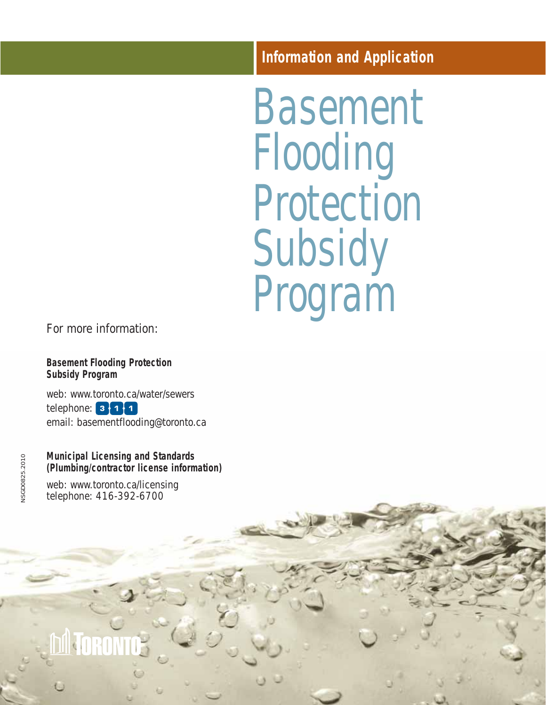# **Information and Application**

Basement Flooding Protection Subsidy Program

For more information:

**Basement Flooding Protection Subsidy Program**

web: www.toronto.ca/water/sewers telephone:  $3\cdot 1\cdot 1$ email: basementflooding@toronto.ca

# **Municipal Licensing and Standards (Plumbing/contractor license information)**

web: www.toronto.ca/licensing telephone: 416-392-6700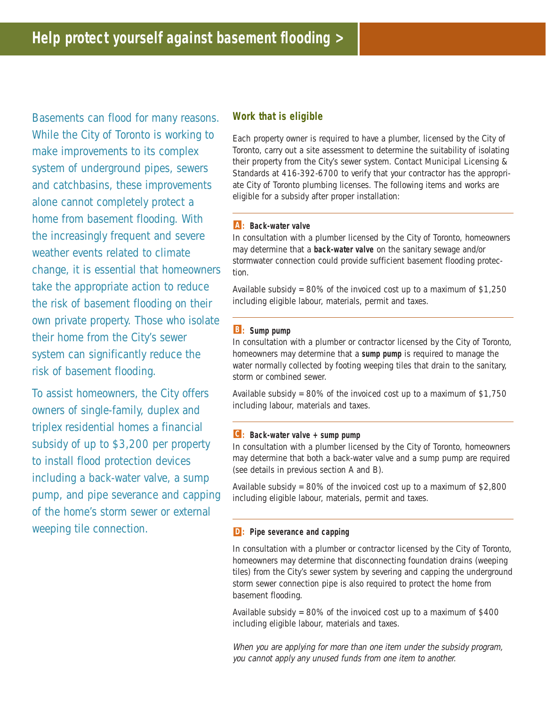Basements can flood for many reasons. While the City of Toronto is working to make improvements to its complex system of underground pipes, sewers and catchbasins, these improvements alone cannot completely protect a home from basement flooding. With the increasingly frequent and severe weather events related to climate change, it is essential that homeowners take the appropriate action to reduce the risk of basement flooding on their own private property. Those who isolate their home from the City's sewer system can significantly reduce the risk of basement flooding.

To assist homeowners, the City offers owners of single-family, duplex and triplex residential homes a financial subsidy of up to \$3,200 per property to install flood protection devices including a back-water valve, a sump pump, and pipe severance and capping of the home's storm sewer or external weeping tile connection.

### **Work that is eligible**

Each property owner is required to have a plumber, licensed by the City of Toronto, carry out a site assessment to determine the suitability of isolating their property from the City's sewer system. Contact Municipal Licensing & Standards at 416-392-6700 to verify that your contractor has the appropriate City of Toronto plumbing licenses. The following items and works are eligible for a subsidy after proper installation:

#### **: Back-water valve A**

In consultation with a plumber licensed by the City of Toronto, homeowners may determine that a **back-water valve** on the sanitary sewage and/or stormwater connection could provide sufficient basement flooding protection.

Available subsidy = 80% of the invoiced cost up to a maximum of \$1,250 including eligible labour, materials, permit and taxes.

#### **: Sump pump B**

In consultation with a plumber or contractor licensed by the City of Toronto, homeowners may determine that a **sump pump** is required to manage the water normally collected by footing weeping tiles that drain to the sanitary, storm or combined sewer.

Available subsidy =  $80\%$  of the invoiced cost up to a maximum of  $$1,750$ including labour, materials and taxes.

#### **: Back-water valve + sump pump C**

In consultation with a plumber licensed by the City of Toronto, homeowners may determine that both a back-water valve and a sump pump are required (see details in previous section A and B).

Available subsidy =  $80\%$  of the invoiced cost up to a maximum of  $$2,800$ including eligible labour, materials, permit and taxes.

#### **: Pipe severance and capping D**

In consultation with a plumber or contractor licensed by the City of Toronto, homeowners may determine that disconnecting foundation drains (weeping tiles) from the City's sewer system by severing and capping the underground storm sewer connection pipe is also required to protect the home from basement flooding.

Available subsidy =  $80\%$  of the invoiced cost up to a maximum of \$400 including eligible labour, materials and taxes.

When you are applying for more than one item under the subsidy program, you cannot apply any unused funds from one item to another.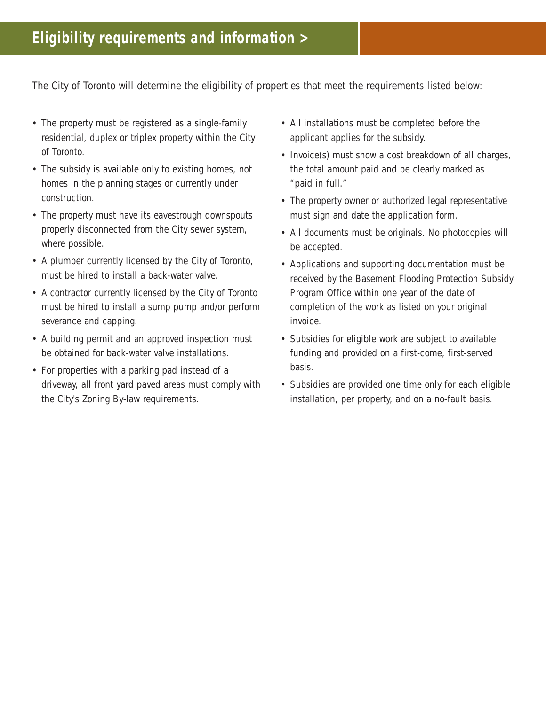The City of Toronto will determine the eligibility of properties that meet the requirements listed below:

- The property must be registered as a single-family residential, duplex or triplex property within the City of Toronto.
- The subsidy is available only to existing homes, not homes in the planning stages or currently under construction.
- The property must have its eavestrough downspouts properly disconnected from the City sewer system, where possible.
- A plumber currently licensed by the City of Toronto, must be hired to install a back-water valve.
- A contractor currently licensed by the City of Toronto must be hired to install a sump pump and/or perform severance and capping.
- A building permit and an approved inspection must be obtained for back-water valve installations.
- For properties with a parking pad instead of a driveway, all front yard paved areas must comply with the City's Zoning By-law requirements.
- All installations must be completed before the applicant applies for the subsidy.
- Invoice(s) must show a cost breakdown of all charges, the total amount paid and be clearly marked as "paid in full."
- The property owner or authorized legal representative must sign and date the application form.
- All documents must be originals. No photocopies will be accepted.
- Applications and supporting documentation must be received by the Basement Flooding Protection Subsidy Program Office within one year of the date of completion of the work as listed on your original invoice.
- Subsidies for eligible work are subject to available funding and provided on a first-come, first-served basis.
- Subsidies are provided one time only for each eligible installation, per property, and on a no-fault basis.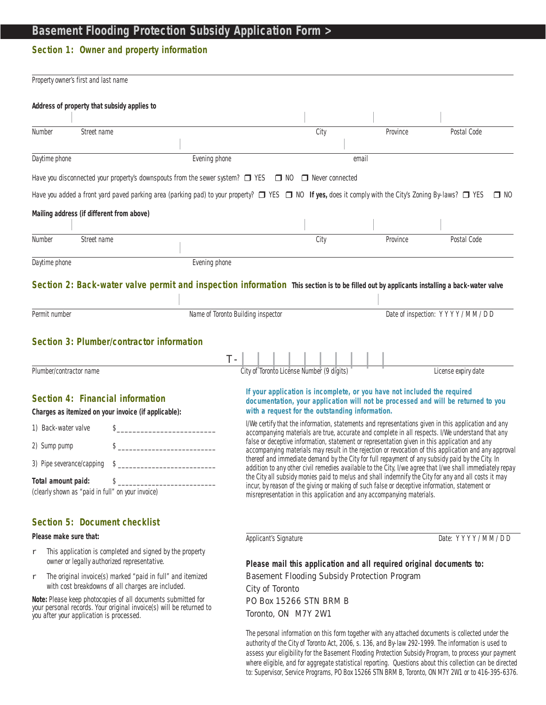# **Basement Flooding Protection Subsidy Application Form >**

# **Section 1: Owner and property information**

| Property owner's first and last name                                                                                                                                                                     |                                    |                                                                                                                                                                                                                                                                                                                                                                                                                                                                                                                                                                                                                                       |          |                                |  |
|----------------------------------------------------------------------------------------------------------------------------------------------------------------------------------------------------------|------------------------------------|---------------------------------------------------------------------------------------------------------------------------------------------------------------------------------------------------------------------------------------------------------------------------------------------------------------------------------------------------------------------------------------------------------------------------------------------------------------------------------------------------------------------------------------------------------------------------------------------------------------------------------------|----------|--------------------------------|--|
| Address of property that subsidy applies to                                                                                                                                                              |                                    |                                                                                                                                                                                                                                                                                                                                                                                                                                                                                                                                                                                                                                       |          |                                |  |
| Number<br>Street name                                                                                                                                                                                    |                                    | City                                                                                                                                                                                                                                                                                                                                                                                                                                                                                                                                                                                                                                  | Province | Postal Code                    |  |
|                                                                                                                                                                                                          |                                    |                                                                                                                                                                                                                                                                                                                                                                                                                                                                                                                                                                                                                                       |          |                                |  |
| Daytime phone                                                                                                                                                                                            | Evening phone                      |                                                                                                                                                                                                                                                                                                                                                                                                                                                                                                                                                                                                                                       | email    |                                |  |
| Have you disconnected your property's downspouts from the sewer system? $\Box$ YES $\Box$ NO $\Box$ Never connected                                                                                      |                                    |                                                                                                                                                                                                                                                                                                                                                                                                                                                                                                                                                                                                                                       |          |                                |  |
| Have you added a front yard paved parking area (parking pad) to your property? □ YES □ NO If yes, does it comply with the City's Zoning By-laws? □ YES □ NO                                              |                                    |                                                                                                                                                                                                                                                                                                                                                                                                                                                                                                                                                                                                                                       |          |                                |  |
| Mailing address (if different from above)                                                                                                                                                                |                                    |                                                                                                                                                                                                                                                                                                                                                                                                                                                                                                                                                                                                                                       |          |                                |  |
|                                                                                                                                                                                                          |                                    |                                                                                                                                                                                                                                                                                                                                                                                                                                                                                                                                                                                                                                       |          |                                |  |
| Number<br>Street name                                                                                                                                                                                    |                                    | City                                                                                                                                                                                                                                                                                                                                                                                                                                                                                                                                                                                                                                  | Province | Postal Code                    |  |
| Daytime phone                                                                                                                                                                                            | Evening phone                      |                                                                                                                                                                                                                                                                                                                                                                                                                                                                                                                                                                                                                                       |          |                                |  |
| Section 2: Back-water valve permit and inspection information This section is to be filled out by applicants installing a back-water valve<br>Permit number<br>Section 3: Plumber/contractor information | Name of Toronto Building inspector |                                                                                                                                                                                                                                                                                                                                                                                                                                                                                                                                                                                                                                       |          | Date of inspection: YYYY/MM/DD |  |
|                                                                                                                                                                                                          | $T -$                              |                                                                                                                                                                                                                                                                                                                                                                                                                                                                                                                                                                                                                                       |          |                                |  |
| Plumber/contractor name                                                                                                                                                                                  |                                    | City of Toronto License Number (9 digits)                                                                                                                                                                                                                                                                                                                                                                                                                                                                                                                                                                                             |          | License expiry date            |  |
| Section 4: Financial information<br>Charges as itemized on your invoice (if applicable):<br>1) Back-water valve                                                                                          |                                    | If your application is incomplete, or you have not included the required<br>documentation, your application will not be processed and will be returned to you<br>with a request for the outstanding information.<br>I/We certify that the information, statements and representations given in this application and any<br>accompanying materials are true, accurate and complete in all respects. I/We understand that any<br>false or deceptive information, statement or representation given in this application and any<br>accompanying materials may result in the rejection or revocation of this application and any approval |          |                                |  |
| 2) Sump pump                                                                                                                                                                                             |                                    |                                                                                                                                                                                                                                                                                                                                                                                                                                                                                                                                                                                                                                       |          |                                |  |
| 3) Pipe severance/capping \$                                                                                                                                                                             |                                    | thereof and immediate demand by the City for full repayment of any subsidy paid by the City. In<br>addition to any other civil remedies available to the City, I/we agree that I/we shall immediately repay<br>the City all subsidy monies paid to me/us and shall indemnify the City for any and all costs it may<br>incur, by reason of the giving or making of such false or deceptive information, statement or<br>misrepresentation in this application and any accompanying materials.                                                                                                                                          |          |                                |  |
| Total amount paid:<br>$\frac{1}{2}$<br>(clearly shown as "paid in full" on your invoice)                                                                                                                 |                                    |                                                                                                                                                                                                                                                                                                                                                                                                                                                                                                                                                                                                                                       |          |                                |  |
| Section 5: Document checklist                                                                                                                                                                            |                                    |                                                                                                                                                                                                                                                                                                                                                                                                                                                                                                                                                                                                                                       |          |                                |  |

**Please make sure that:** 

 $r$  This application is completed and signed by the property owner or legally authorized representative.

r The original invoice(s) marked "paid in full" and itemized with cost breakdowns of all charges are included.

**Note:** Please keep photocopies of all documents submitted for your personal records. Your original invoice(s) will be returned to you after your application is processed.

Applicant's Signature **Date: YYYY/MM/DD** 

#### **Please mail this application and all required original documents to:**

Basement Flooding Subsidy Protection Program City of Toronto PO Box 15266 STN BRM B

Toronto, ON M7Y 2W1

The personal information on this form together with any attached documents is collected under the authority of the City of Toronto Act, 2006, s. 136, and By-law 292-1999. The information is used to assess your eligibility for the Basement Flooding Protection Subsidy Program, to process your payment where eligible, and for aggregate statistical reporting. Questions about this collection can be directed to: Supervisor, Service Programs, PO Box 15266 STN BRM B, Toronto, ON M7Y 2W1 or to 416-395-6376.